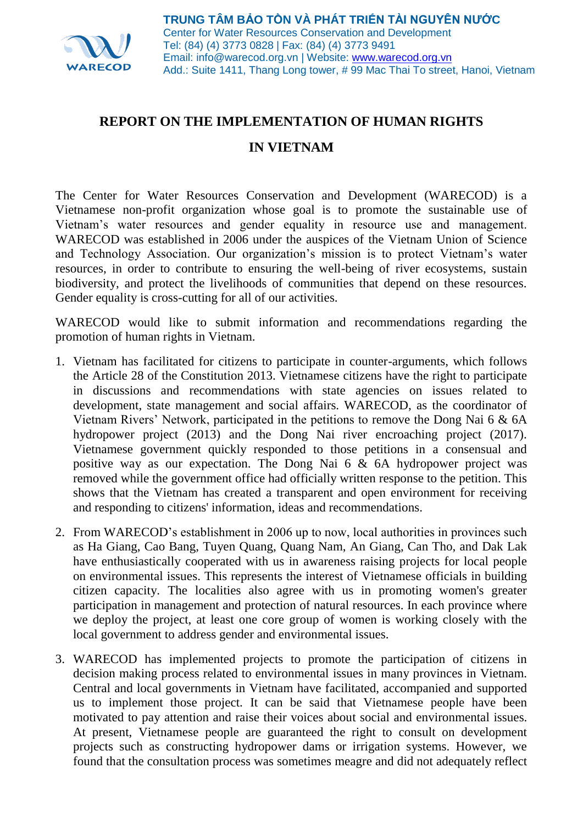

## **REPORT ON THE IMPLEMENTATION OF HUMAN RIGHTS**

## **IN VIETNAM**

The Center for Water Resources Conservation and Development (WARECOD) is a Vietnamese non-profit organization whose goal is to promote the sustainable use of Vietnam's water resources and gender equality in resource use and management. WARECOD was established in 2006 under the auspices of the Vietnam Union of Science and Technology Association. Our organization's mission is to protect Vietnam's water resources, in order to contribute to ensuring the well-being of river ecosystems, sustain biodiversity, and protect the livelihoods of communities that depend on these resources. Gender equality is cross-cutting for all of our activities.

WARECOD would like to submit information and recommendations regarding the promotion of human rights in Vietnam.

- 1. Vietnam has facilitated for citizens to participate in counter-arguments, which follows the Article 28 of the Constitution 2013. Vietnamese citizens have the right to participate in discussions and recommendations with state agencies on issues related to development, state management and social affairs. WARECOD, as the coordinator of Vietnam Rivers' Network, participated in the petitions to remove the Dong Nai 6 & 6A hydropower project (2013) and the Dong Nai river encroaching project (2017). Vietnamese government quickly responded to those petitions in a consensual and positive way as our expectation. The Dong Nai 6 & 6A hydropower project was removed while the government office had officially written response to the petition. This shows that the Vietnam has created a transparent and open environment for receiving and responding to citizens' information, ideas and recommendations.
- 2. From WARECOD's establishment in 2006 up to now, local authorities in provinces such as Ha Giang, Cao Bang, Tuyen Quang, Quang Nam, An Giang, Can Tho, and Dak Lak have enthusiastically cooperated with us in awareness raising projects for local people on environmental issues. This represents the interest of Vietnamese officials in building citizen capacity. The localities also agree with us in promoting women's greater participation in management and protection of natural resources. In each province where we deploy the project, at least one core group of women is working closely with the local government to address gender and environmental issues.
- 3. WARECOD has implemented projects to promote the participation of citizens in decision making process related to environmental issues in many provinces in Vietnam. Central and local governments in Vietnam have facilitated, accompanied and supported us to implement those project. It can be said that Vietnamese people have been motivated to pay attention and raise their voices about social and environmental issues. At present, Vietnamese people are guaranteed the right to consult on development projects such as constructing hydropower dams or irrigation systems. However, we found that the consultation process was sometimes meagre and did not adequately reflect